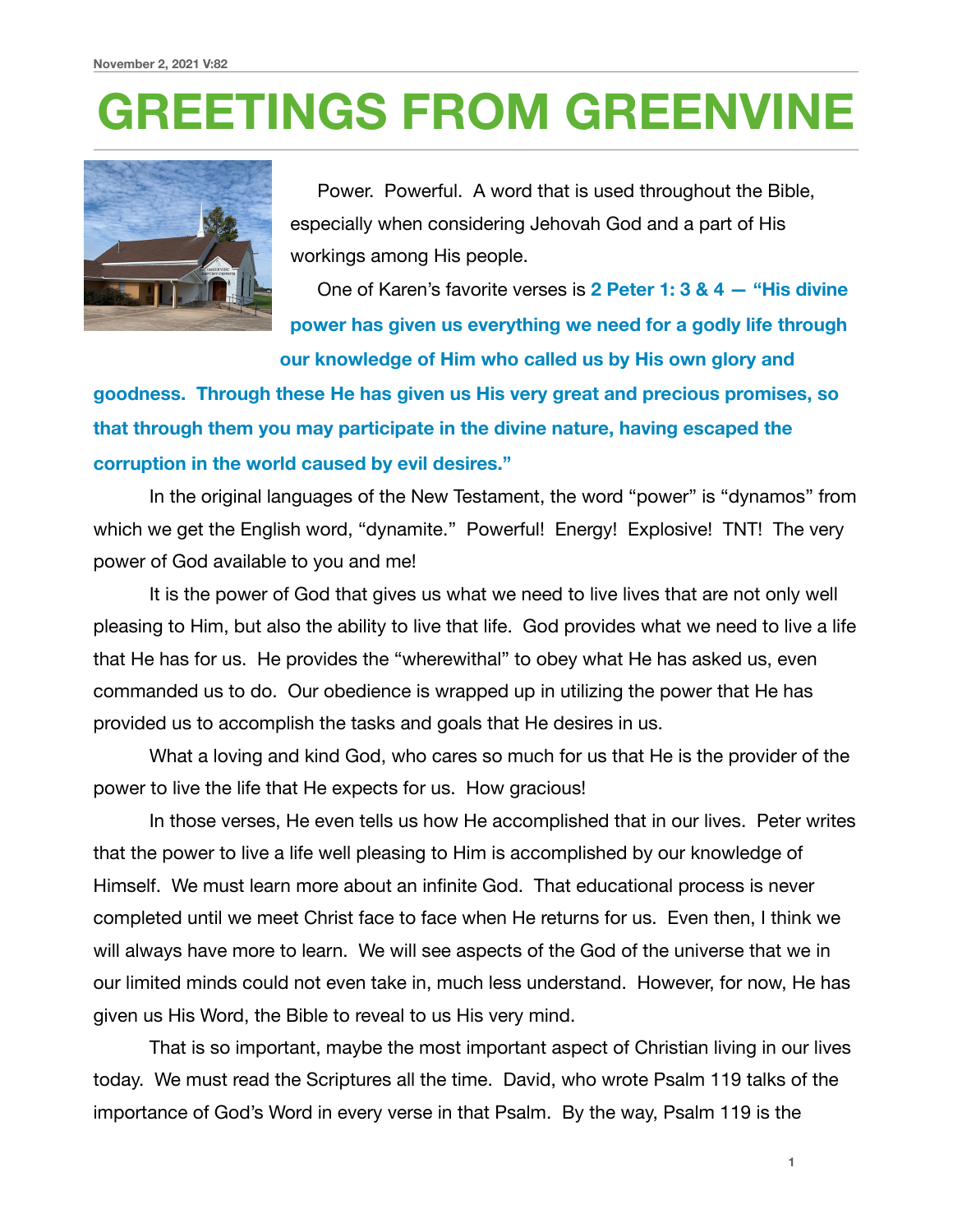## **GREETINGS FROM GREENVINE**



Power. Powerful. A word that is used throughout the Bible, especially when considering Jehovah God and a part of His workings among His people.

One of Karen's favorite verses is **2 Peter 1: 3 & 4 — "His divine power has given us everything we need for a godly life through our knowledge of Him who called us by His own glory and** 

**goodness. Through these He has given us His very great and precious promises, so that through them you may participate in the divine nature, having escaped the corruption in the world caused by evil desires."** 

In the original languages of the New Testament, the word "power" is "dynamos" from which we get the English word, "dynamite." Powerful! Energy! Explosive! TNT! The very power of God available to you and me!

It is the power of God that gives us what we need to live lives that are not only well pleasing to Him, but also the ability to live that life. God provides what we need to live a life that He has for us. He provides the "wherewithal" to obey what He has asked us, even commanded us to do. Our obedience is wrapped up in utilizing the power that He has provided us to accomplish the tasks and goals that He desires in us.

What a loving and kind God, who cares so much for us that He is the provider of the power to live the life that He expects for us. How gracious!

In those verses, He even tells us how He accomplished that in our lives. Peter writes that the power to live a life well pleasing to Him is accomplished by our knowledge of Himself. We must learn more about an infinite God. That educational process is never completed until we meet Christ face to face when He returns for us. Even then, I think we will always have more to learn. We will see aspects of the God of the universe that we in our limited minds could not even take in, much less understand. However, for now, He has given us His Word, the Bible to reveal to us His very mind.

That is so important, maybe the most important aspect of Christian living in our lives today. We must read the Scriptures all the time. David, who wrote Psalm 119 talks of the importance of God's Word in every verse in that Psalm. By the way, Psalm 119 is the

**1**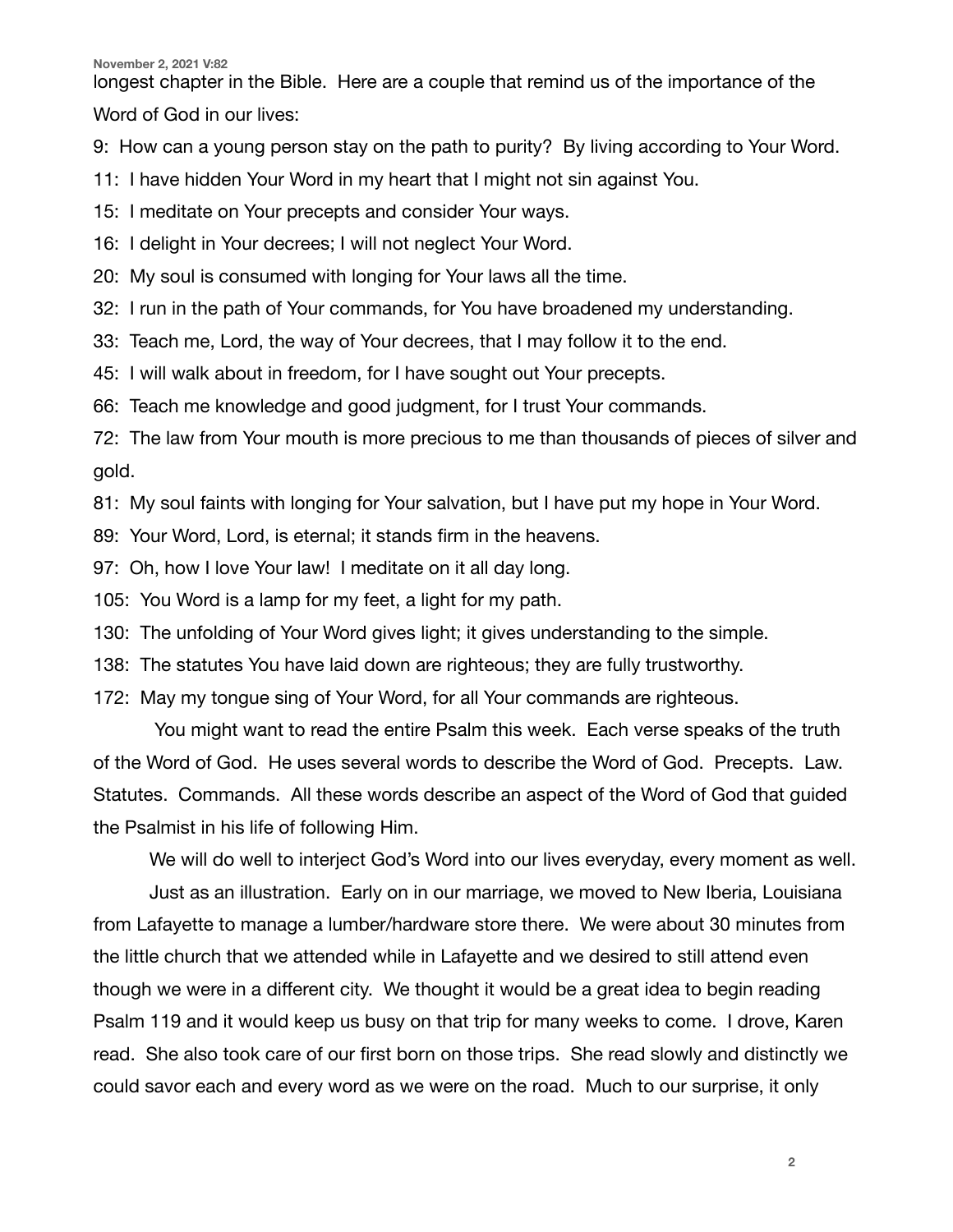longest chapter in the Bible. Here are a couple that remind us of the importance of the Word of God in our lives:

9: How can a young person stay on the path to purity? By living according to Your Word.

11: I have hidden Your Word in my heart that I might not sin against You.

15: I meditate on Your precepts and consider Your ways.

16: I delight in Your decrees; I will not neglect Your Word.

20: My soul is consumed with longing for Your laws all the time.

32: I run in the path of Your commands, for You have broadened my understanding.

33: Teach me, Lord, the way of Your decrees, that I may follow it to the end.

45: I will walk about in freedom, for I have sought out Your precepts.

66: Teach me knowledge and good judgment, for I trust Your commands.

72: The law from Your mouth is more precious to me than thousands of pieces of silver and gold.

81: My soul faints with longing for Your salvation, but I have put my hope in Your Word.

89: Your Word, Lord, is eternal; it stands firm in the heavens.

97: Oh, how I love Your law! I meditate on it all day long.

105: You Word is a lamp for my feet, a light for my path.

130: The unfolding of Your Word gives light; it gives understanding to the simple.

138: The statutes You have laid down are righteous; they are fully trustworthy.

172: May my tongue sing of Your Word, for all Your commands are righteous.

 You might want to read the entire Psalm this week. Each verse speaks of the truth of the Word of God. He uses several words to describe the Word of God. Precepts. Law. Statutes. Commands. All these words describe an aspect of the Word of God that guided the Psalmist in his life of following Him.

We will do well to interject God's Word into our lives everyday, every moment as well.

Just as an illustration. Early on in our marriage, we moved to New Iberia, Louisiana from Lafayette to manage a lumber/hardware store there. We were about 30 minutes from the little church that we attended while in Lafayette and we desired to still attend even though we were in a different city. We thought it would be a great idea to begin reading Psalm 119 and it would keep us busy on that trip for many weeks to come. I drove, Karen read. She also took care of our first born on those trips. She read slowly and distinctly we could savor each and every word as we were on the road. Much to our surprise, it only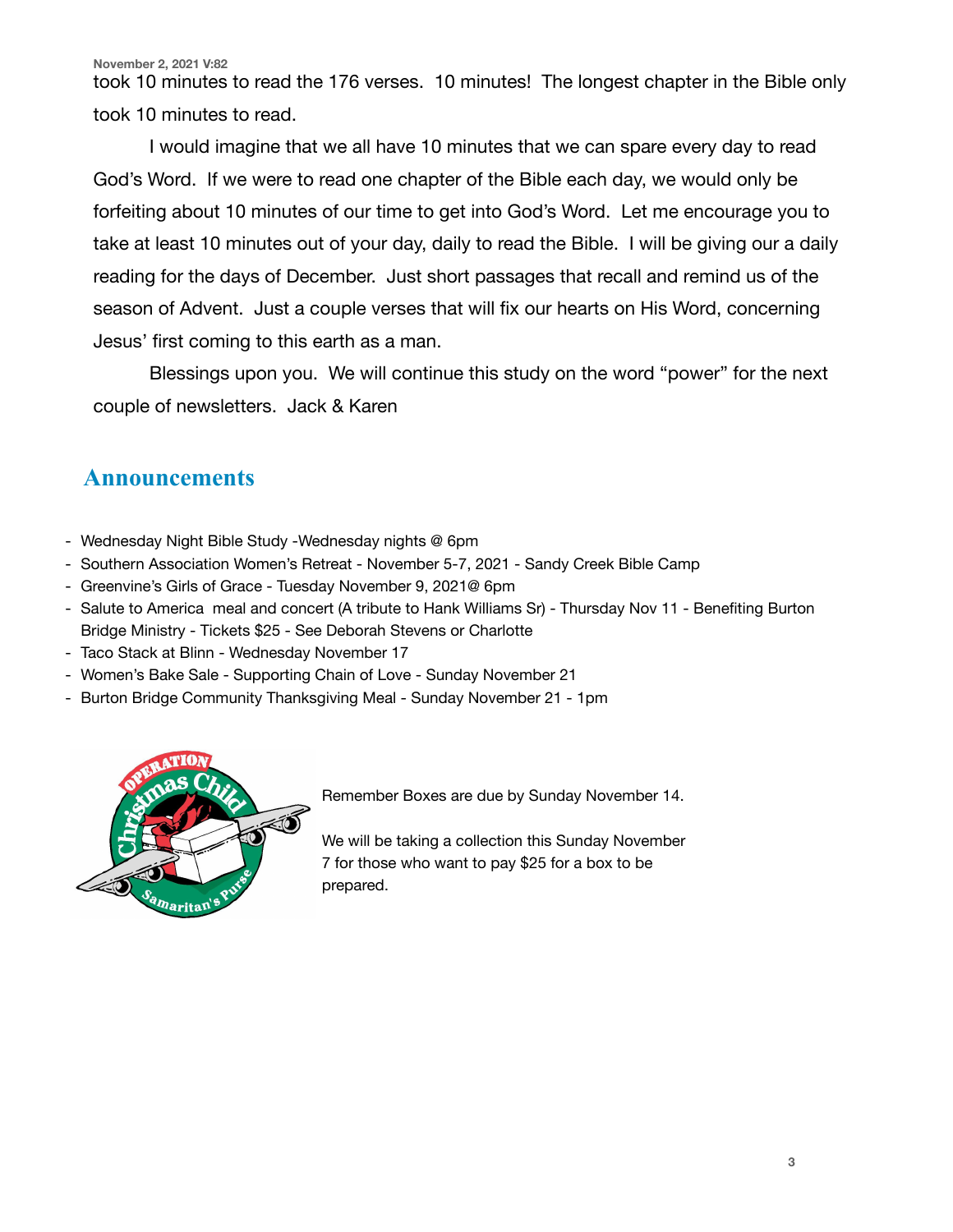took 10 minutes to read the 176 verses. 10 minutes! The longest chapter in the Bible only took 10 minutes to read.

I would imagine that we all have 10 minutes that we can spare every day to read God's Word. If we were to read one chapter of the Bible each day, we would only be forfeiting about 10 minutes of our time to get into God's Word. Let me encourage you to take at least 10 minutes out of your day, daily to read the Bible. I will be giving our a daily reading for the days of December. Just short passages that recall and remind us of the season of Advent. Just a couple verses that will fix our hearts on His Word, concerning Jesus' first coming to this earth as a man.

Blessings upon you. We will continue this study on the word "power" for the next couple of newsletters. Jack & Karen

## **Announcements**

- Wednesday Night Bible Study -Wednesday nights @ 6pm
- Southern Association Women's Retreat November 5-7, 2021 Sandy Creek Bible Camp
- Greenvine's Girls of Grace Tuesday November 9, 2021@ 6pm
- Salute to America meal and concert (A tribute to Hank Williams Sr) Thursday Nov 11 Benefiting Burton Bridge Ministry - Tickets \$25 - See Deborah Stevens or Charlotte
- Taco Stack at Blinn Wednesday November 17
- Women's Bake Sale Supporting Chain of Love Sunday November 21
- Burton Bridge Community Thanksgiving Meal Sunday November 21 1pm



Remember Boxes are due by Sunday November 14.

We will be taking a collection this Sunday November 7 for those who want to pay \$25 for a box to be prepared.